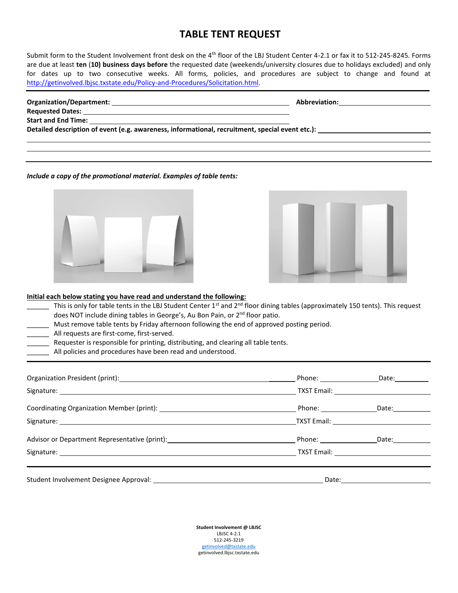# **TABLE TENT REQUEST**

Submit form to the Student Involvement front desk on the 4th floor of the LBJ Student Center 4-2.1 or fax it to 512-245-8245. Forms are due at least **ten** (**10) business days before** the requested date (weekends/university closures due to holidays excluded) and only for dates up to two consecutive weeks. All forms, policies, and procedures are subject to change and found at [http://getinvolved.lbjsc.txstate.edu/Policy-and-Procedures/Solicitation.html.](http://getinvolved.lbjsc.txstate.edu/Policy-and-Procedures/Solicitation.html)

| Organization/Department:                                                                        | Abbreviation: |
|-------------------------------------------------------------------------------------------------|---------------|
|                                                                                                 |               |
| <b>Start and End Time:</b><br><u> 1989 - Johann John Stone, Amerikaansk politiker († 1908)</u>  |               |
| Detailed description of event (e.g. awareness, informational, recruitment, special event etc.): |               |
|                                                                                                 |               |
|                                                                                                 |               |

#### *Include a copy of the promotional material. Examples of table tents:*





## **Initial each below stating you have read and understand the following:**

- This is only for table tents in the LBJ Student Center 1<sup>st</sup> and 2<sup>nd</sup> floor dining tables (approximately 150 tents). This request does NOT include dining tables in George's, Au Bon Pain, or 2<sup>nd</sup> floor patio.
	- Must remove table tents by Friday afternoon following the end of approved posting period.
- All requests are first-come, first-served.
- Requester is responsible for printing, distributing, and clearing all table tents.
- All policies and procedures have been read and understood.

|                                                                                                                                                                                                                                |  | Phone: _________________________________Date: __________________________________ |  |
|--------------------------------------------------------------------------------------------------------------------------------------------------------------------------------------------------------------------------------|--|----------------------------------------------------------------------------------|--|
|                                                                                                                                                                                                                                |  |                                                                                  |  |
|                                                                                                                                                                                                                                |  |                                                                                  |  |
|                                                                                                                                                                                                                                |  |                                                                                  |  |
| Advisor or Department Representative (print): North Contract Contract Contract Contract Contract Contract Contract Contract Contract Contract Contract Contract Contract Contract Contract Contract Contract Contract Contract |  |                                                                                  |  |
|                                                                                                                                                                                                                                |  | TXST Email: TXST Email:                                                          |  |
|                                                                                                                                                                                                                                |  |                                                                                  |  |

**Student Involvement @ LBJSC** LBJSC 4-2.1 512-245-3219 [getinvolved@txstate.edu](mailto:getinvolved@txstate.edu) getinvolved.lbjsc.txstate.edu